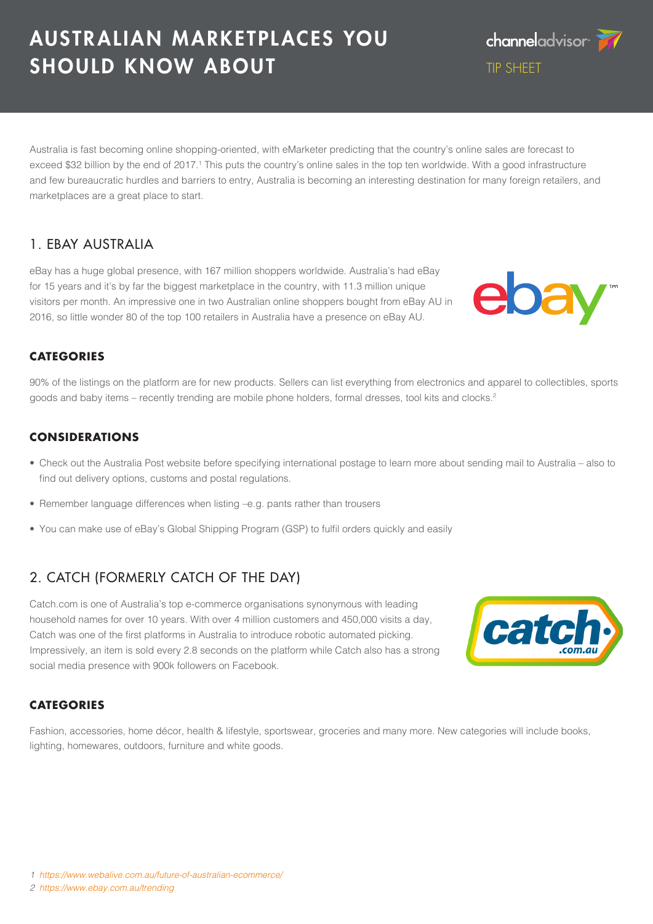#### *1 <https://www.webalive.com.au/future-of-australian-ecommerce/>*

*2 <https://www.ebay.com.au/trending>*

# AUSTRALIAN MARKETPLACES YOU SHOULD KNOW ABOUT

Australia is fast becoming online shopping-oriented, with eMarketer predicting that the country's online sales are forecast to exceed \$32 billion by the end of 2017.<sup>1</sup> This puts the country's online sales in the top ten worldwide. With a good infrastructure and few bureaucratic hurdles and barriers to entry, Australia is becoming an interesting destination for many foreign retailers, and marketplaces are a great place to start.

## 1. EBAY AUSTRALIA

eBay has a huge global presence, with 167 million shoppers worldwide. Australia's had eBay for 15 years and it's by far the biggest marketplace in the country, with 11.3 million unique visitors per month. An impressive one in two Australian online shoppers bought from eBay AU in 2016, so little wonder 80 of the top 100 retailers in Australia have a presence on eBay AU.

### **CATEGORIES**

90% of the listings on the platform are for new products. Sellers can list everything from electronics and apparel to collectibles, sports goods and baby items – recently trending are mobile phone holders, formal dresses, tool kits and clocks.2

## **CONSIDERATIONS**

- Check out the Australia Post website before specifying international postage to learn more about sending mail to Australia also to find out delivery options, customs and postal regulations.
- Remember language differences when listing –e.g. pants rather than trousers
- You can make use of eBay's Global Shipping Program (GSP) to fulfil orders quickly and easily

## 2. CATCH (FORMERLY CATCH OF THE DAY)

Catch.com is one of Australia's top e-commerce organisations synonymous with leading household names for over 10 years. With over 4 million customers and 450,000 visits a day, Catch was one of the first platforms in Australia to introduce robotic automated picking. Impressively, an item is sold every 2.8 seconds on the platform while Catch also has a strong social media presence with 900k followers on Facebook.

## **CATEGORIES**

Fashion, accessories, home décor, health & lifestyle, sportswear, groceries and many more. New categories will include books, lighting, homewares, outdoors, furniture and white goods.